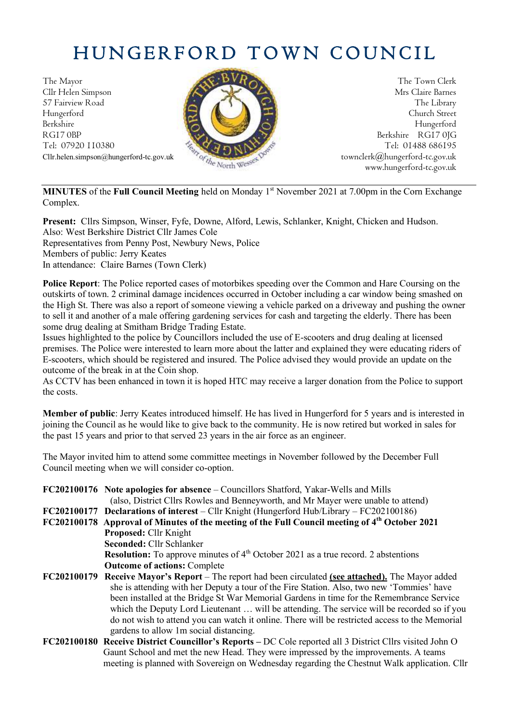# HUNGERFORD TOWN COUNCIL

The Mayor The Town Clerk Cllr Helen Simpson Mrs Claire Barnes 57 Fairview Road The Library Road The Library Hungerford Church Street Berkshire Hungerford RG17 0BP Berkshire RG17 0JG Berkshire RG17 0JG Berkshire RG17 0JG Tel: 07920 110380



Cllr.helen.simpson@hungerford-tc.gov.uk [townclerk@hungerford-tc.gov.uk](mailto:townclerk@hungerford-tc.gov.uk) townclerk@hungerford-tc.gov.uk www.hungerford-tc.gov.uk www.hungerford-tc.gov.uk

**MINUTES** of the **Full Council Meeting** held on Monday 1 st November 2021 at 7.00pm in the Corn Exchange Complex.

**Present:** Cllrs Simpson, Winser, Fyfe, Downe, Alford, Lewis, Schlanker, Knight, Chicken and Hudson. Also: West Berkshire District Cllr James Cole Representatives from Penny Post, Newbury News, Police Members of public: Jerry Keates In attendance: Claire Barnes (Town Clerk)

**Police Report**: The Police reported cases of motorbikes speeding over the Common and Hare Coursing on the outskirts of town. 2 criminal damage incidences occurred in October including a car window being smashed on the High St. There was also a report of someone viewing a vehicle parked on a driveway and pushing the owner to sell it and another of a male offering gardening services for cash and targeting the elderly. There has been some drug dealing at Smitham Bridge Trading Estate.

Issues highlighted to the police by Councillors included the use of E-scooters and drug dealing at licensed premises. The Police were interested to learn more about the latter and explained they were educating riders of E-scooters, which should be registered and insured. The Police advised they would provide an update on the outcome of the break in at the Coin shop.

As CCTV has been enhanced in town it is hoped HTC may receive a larger donation from the Police to support the costs.

**Member of public**: Jerry Keates introduced himself. He has lived in Hungerford for 5 years and is interested in joining the Council as he would like to give back to the community. He is now retired but worked in sales for the past 15 years and prior to that served 23 years in the air force as an engineer.

The Mayor invited him to attend some committee meetings in November followed by the December Full Council meeting when we will consider co-option.

|             | <b>FC202100176</b> Note apologies for absence – Councillors Shatford, Yakar-Wells and Mills                |
|-------------|------------------------------------------------------------------------------------------------------------|
|             | (also, District Cllrs Rowles and Benneyworth, and Mr Mayer were unable to attend)                          |
|             | $FC202100177$ Declarations of interest – Cllr Knight (Hungerford Hub/Library – $FC202100186$ )             |
|             | FC202100178 Approval of Minutes of the meeting of the Full Council meeting of 4 <sup>th</sup> October 2021 |
|             | <b>Proposed: Cllr Knight</b>                                                                               |
|             | Seconded: Cllr Schlanker                                                                                   |
|             | <b>Resolution:</b> To approve minutes of $4th$ October 2021 as a true record. 2 abstentions                |
|             | <b>Outcome of actions: Complete</b>                                                                        |
| FC202100179 | <b>Receive Mayor's Report</b> – The report had been circulated (see attached). The Mayor added             |
|             | she is attending with her Deputy a tour of the Fire Station. Also, two new 'Tommies' have                  |
|             | been installed at the Bridge St War Memorial Gardens in time for the Remembrance Service                   |
|             | which the Deputy Lord Lieutenant  will be attending. The service will be recorded so if you                |
|             | do not wish to attend you can watch it online. There will be restricted access to the Memorial             |
|             | gardens to allow 1m social distancing.                                                                     |
|             | FC202100180 Receive District Councillor's Reports – DC Cole reported all 3 District Cllrs visited John O   |
|             | Gaunt School and met the new Head. They were impressed by the improvements. A teams                        |

meeting is planned with Sovereign on Wednesday regarding the Chestnut Walk application. Cllr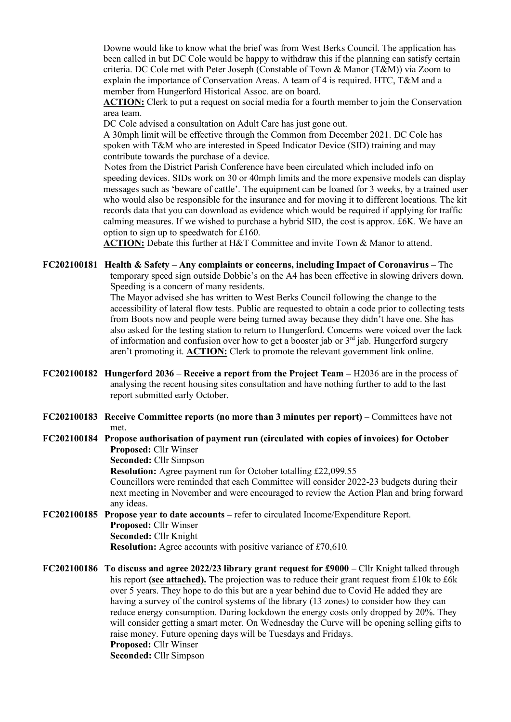Downe would like to know what the brief was from West Berks Council. The application has been called in but DC Cole would be happy to withdraw this if the planning can satisfy certain criteria. DC Cole met with Peter Joseph (Constable of Town & Manor (T&M)) via Zoom to explain the importance of Conservation Areas. A team of 4 is required. HTC, T&M and a member from Hungerford Historical Assoc. are on board.

**ACTION:** Clerk to put a request on social media for a fourth member to join the Conservation area team.

DC Cole advised a consultation on Adult Care has just gone out.

A 30mph limit will be effective through the Common from December 2021. DC Cole has spoken with T&M who are interested in Speed Indicator Device (SID) training and may contribute towards the purchase of a device.

Notes from the District Parish Conference have been circulated which included info on speeding devices. SIDs work on 30 or 40mph limits and the more expensive models can display messages such as 'beware of cattle'. The equipment can be loaned for 3 weeks, by a trained user who would also be responsible for the insurance and for moving it to different locations. The kit records data that you can download as evidence which would be required if applying for traffic calming measures. If we wished to purchase a hybrid SID, the cost is approx. £6K. We have an option to sign up to speedwatch for £160.

**ACTION:** Debate this further at H&T Committee and invite Town & Manor to attend.

**FC202100181 Health & Safety** – **Any complaints or concerns, including Impact of Coronavirus** – The temporary speed sign outside Dobbie's on the A4 has been effective in slowing drivers down. Speeding is a concern of many residents.

The Mayor advised she has written to West Berks Council following the change to the accessibility of lateral flow tests. Public are requested to obtain a code prior to collecting tests from Boots now and people were being turned away because they didn't have one. She has also asked for the testing station to return to Hungerford. Concerns were voiced over the lack of information and confusion over how to get a booster jab or  $3<sup>rd</sup>$  jab. Hungerford surgery aren't promoting it. **ACTION:** Clerk to promote the relevant government link online.

- **FC202100182 Hungerford 2036 Receive a report from the Project Team –** H2036 are in the process of analysing the recent housing sites consultation and have nothing further to add to the last report submitted early October.
- **FC202100183 Receive Committee reports (no more than 3 minutes per report)** Committees have not met.

#### **FC202100184 Propose authorisation of payment run (circulated with copies of invoices) for October Proposed:** Cllr Winser

**Seconded:** Cllr Simpson

**Resolution:** Agree payment run for October totalling £22,099.55

Councillors were reminded that each Committee will consider 2022-23 budgets during their next meeting in November and were encouraged to review the Action Plan and bring forward any ideas.

#### **FC202100185 Propose year to date accounts –** refer to circulated Income/Expenditure Report. **Proposed:** Cllr Winser **Seconded:** Cllr Knight **Resolution:** Agree accounts with positive variance of £70,610*.*

**FC202100186 To discuss and agree 2022/23 library grant request for £9000 –** Cllr Knight talked through his report **(see attached).** The projection was to reduce their grant request from £10k to £6k over 5 years. They hope to do this but are a year behind due to Covid He added they are having a survey of the control systems of the library (13 zones) to consider how they can reduce energy consumption. During lockdown the energy costs only dropped by 20%. They will consider getting a smart meter. On Wednesday the Curve will be opening selling gifts to raise money. Future opening days will be Tuesdays and Fridays. **Proposed:** Cllr Winser **Seconded:** Cllr Simpson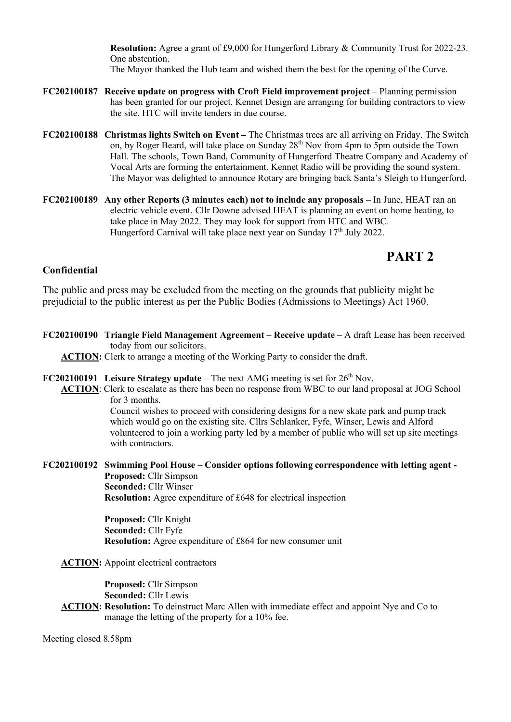**Resolution:** Agree a grant of £9,000 for Hungerford Library & Community Trust for 2022-23. One abstention. The Mayor thanked the Hub team and wished them the best for the opening of the Curve.

- **FC202100187 Receive update on progress with Croft Field improvement project** Planning permission has been granted for our project. Kennet Design are arranging for building contractors to view the site. HTC will invite tenders in due course.
- **FC202100188 Christmas lights Switch on Event –** The Christmas trees are all arriving on Friday. The Switch on, by Roger Beard, will take place on Sunday 28<sup>th</sup> Nov from 4pm to 5pm outside the Town Hall. The schools, Town Band, Community of Hungerford Theatre Company and Academy of Vocal Arts are forming the entertainment. Kennet Radio will be providing the sound system. The Mayor was delighted to announce Rotary are bringing back Santa's Sleigh to Hungerford.
- **FC202100189 Any other Reports (3 minutes each) not to include any proposals** In June, HEAT ran an electric vehicle event. Cllr Downe advised HEAT is planning an event on home heating, to take place in May 2022. They may look for support from HTC and WBC. Hungerford Carnival will take place next year on Sunday  $17<sup>th</sup>$  July 2022.

## **PART 2**

#### **Confidential**

The public and press may be excluded from the meeting on the grounds that publicity might be prejudicial to the public interest as per the Public Bodies (Admissions to Meetings) Act 1960.

**FC202100190 Triangle Field Management Agreement – Receive update –** A draft Lease has been received today from our solicitors.

**ACTION:** Clerk to arrange a meeting of the Working Party to consider the draft.

- **FC202100191** Leisure Strategy update  $-$  The next AMG meeting is set for  $26<sup>th</sup>$  Nov.
	- **ACTION**: Clerk to escalate as there has been no response from WBC to our land proposal at JOG School for 3 months.

Council wishes to proceed with considering designs for a new skate park and pump track which would go on the existing site. Cllrs Schlanker, Fyfe, Winser, Lewis and Alford volunteered to join a working party led by a member of public who will set up site meetings with contractors.

**FC202100192 Swimming Pool House – Consider options following correspondence with letting agent - Proposed:** Cllr Simpson **Seconded:** Cllr Winser **Resolution:** Agree expenditure of £648 for electrical inspection

> **Proposed:** Cllr Knight **Seconded:** Cllr Fyfe **Resolution:** Agree expenditure of £864 for new consumer unit

**ACTION:** Appoint electrical contractors

**Proposed:** Cllr Simpson **Seconded:** Cllr Lewis

**ACTION: Resolution:** To deinstruct Marc Allen with immediate effect and appoint Nye and Co to manage the letting of the property for a 10% fee.

Meeting closed 8.58pm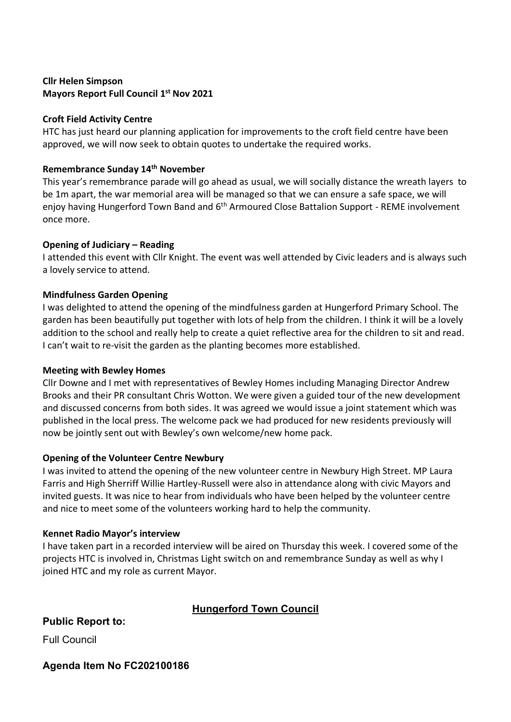#### **Cllr Helen Simpson Mayors Report Full Council 1 st Nov 2021**

#### **Croft Field Activity Centre**

HTC has just heard our planning application for improvements to the croft field centre have been approved, we will now seek to obtain quotes to undertake the required works.

#### **Remembrance Sunday 14th November**

This year's remembrance parade will go ahead as usual, we will socially distance the wreath layers to be 1m apart, the war memorial area will be managed so that we can ensure a safe space, we will enjoy having Hungerford Town Band and 6<sup>th</sup> Armoured Close Battalion Support - REME involvement once more.

#### **Opening of Judiciary – Reading**

I attended this event with Cllr Knight. The event was well attended by Civic leaders and is always such a lovely service to attend.

#### **Mindfulness Garden Opening**

I was delighted to attend the opening of the mindfulness garden at Hungerford Primary School. The garden has been beautifully put together with lots of help from the children. I think it will be a lovely addition to the school and really help to create a quiet reflective area for the children to sit and read. I can't wait to re-visit the garden as the planting becomes more established.

#### **Meeting with Bewley Homes**

Cllr Downe and I met with representatives of Bewley Homes including Managing Director Andrew Brooks and their PR consultant Chris Wotton. We were given a guided tour of the new development and discussed concerns from both sides. It was agreed we would issue a joint statement which was published in the local press. The welcome pack we had produced for new residents previously will now be jointly sent out with Bewley's own welcome/new home pack.

#### **Opening of the Volunteer Centre Newbury**

I was invited to attend the opening of the new volunteer centre in Newbury High Street. MP Laura Farris and High Sherriff Willie Hartley-Russell were also in attendance along with civic Mayors and invited guests. It was nice to hear from individuals who have been helped by the volunteer centre and nice to meet some of the volunteers working hard to help the community.

#### **Kennet Radio Mayor's interview**

I have taken part in a recorded interview will be aired on Thursday this week. I covered some of the projects HTC is involved in, Christmas Light switch on and remembrance Sunday as well as why I joined HTC and my role as current Mayor.

## **Hungerford Town Council**

**Public Report to:**

Full Council

**Agenda Item No FC202100186**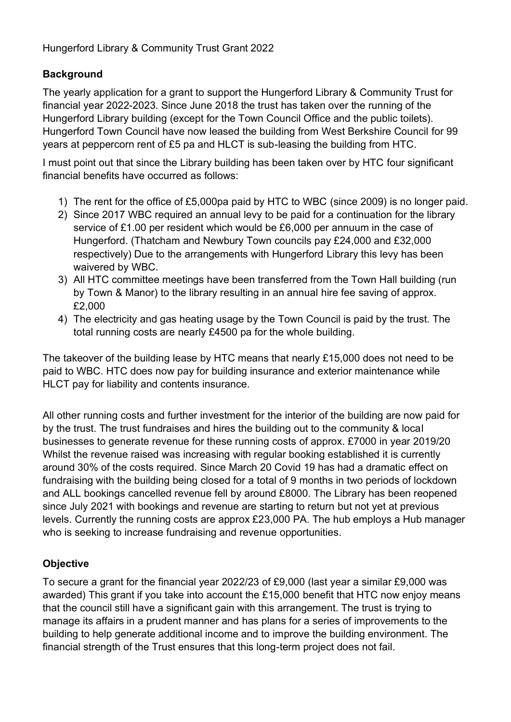## **Background**

The yearly application for a grant to support the Hungerford Library & Community Trust for financial year 2022-2023. Since June 2018 the trust has taken over the running of the Hungerford Library building (except for the Town Council Office and the public toilets). Hungerford Town Council have now leased the building from West Berkshire Council for 99 years at peppercorn rent of £5 pa and HLCT is sub-leasing the building from HTC.

I must point out that since the Library building has been taken over by HTC four significant financial benefits have occurred as follows:

- 1) The rent for the office of £5,000pa paid by HTC to WBC (since 2009) is no longer paid.
- 2) Since 2017 WBC required an annual levy to be paid for a continuation for the library service of £1.00 per resident which would be £6,000 per annuum in the case of Hungerford. (Thatcham and Newbury Town councils pay £24,000 and £32,000 respectively) Due to the arrangements with Hungerford Library this levy has been waivered by WBC.
- 3) All HTC committee meetings have been transferred from the Town Hall building (run by Town & Manor) to the library resulting in an annual hire fee saving of approx. £2,000
- 4) The electricity and gas heating usage by the Town Council is paid by the trust. The total running costs are nearly £4500 pa for the whole building.

The takeover of the building lease by HTC means that nearly £15,000 does not need to be paid to WBC. HTC does now pay for building insurance and exterior maintenance while HLCT pay for liability and contents insurance.

All other running costs and further investment for the interior of the building are now paid for by the trust. The trust fundraises and hires the building out to the community & local businesses to generate revenue for these running costs of approx. £7000 in year 2019/20 Whilst the revenue raised was increasing with regular booking established it is currently around 30% of the costs required. Since March 20 Covid 19 has had a dramatic effect on fundraising with the building being closed for a total of 9 months in two periods of lockdown and ALL bookings cancelled revenue fell by around £8000. The Library has been reopened since July 2021 with bookings and revenue are starting to return but not yet at previous levels. Currently the running costs are approx £23,000 PA. The hub employs a Hub manager who is seeking to increase fundraising and revenue opportunities.

## **Objective**

To secure a grant for the financial year 2022/23 of £9,000 (last year a similar £9,000 was awarded) This grant if you take into account the £15,000 benefit that HTC now enjoy means that the council still have a significant gain with this arrangement. The trust is trying to manage its affairs in a prudent manner and has plans for a series of improvements to the building to help generate additional income and to improve the building environment. The financial strength of the Trust ensures that this long-term project does not fail.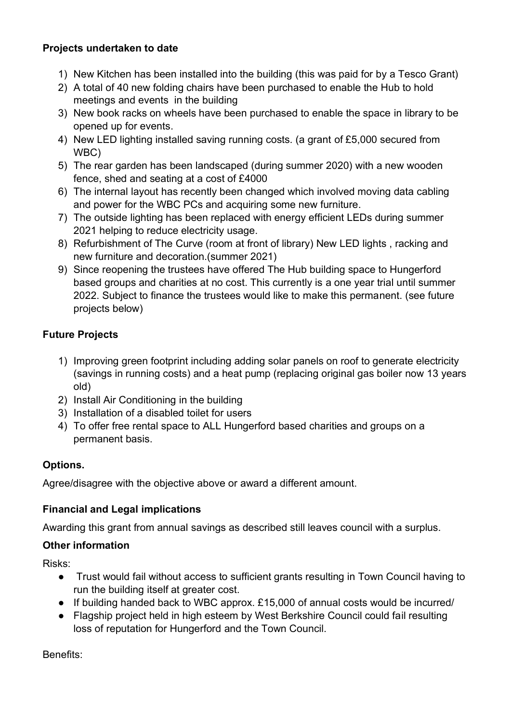### **Projects undertaken to date**

- 1) New Kitchen has been installed into the building (this was paid for by a Tesco Grant)
- 2) A total of 40 new folding chairs have been purchased to enable the Hub to hold meetings and events in the building
- 3) New book racks on wheels have been purchased to enable the space in library to be opened up for events.
- 4) New LED lighting installed saving running costs. (a grant of £5,000 secured from WBC)
- 5) The rear garden has been landscaped (during summer 2020) with a new wooden fence, shed and seating at a cost of £4000
- 6) The internal layout has recently been changed which involved moving data cabling and power for the WBC PCs and acquiring some new furniture.
- 7) The outside lighting has been replaced with energy efficient LEDs during summer 2021 helping to reduce electricity usage.
- 8) Refurbishment of The Curve (room at front of library) New LED lights , racking and new furniture and decoration.(summer 2021)
- 9) Since reopening the trustees have offered The Hub building space to Hungerford based groups and charities at no cost. This currently is a one year trial until summer 2022. Subject to finance the trustees would like to make this permanent. (see future projects below)

## **Future Projects**

- 1) Improving green footprint including adding solar panels on roof to generate electricity (savings in running costs) and a heat pump (replacing original gas boiler now 13 years old)
- 2) Install Air Conditioning in the building
- 3) Installation of a disabled toilet for users
- 4) To offer free rental space to ALL Hungerford based charities and groups on a permanent basis.

## **Options.**

Agree/disagree with the objective above or award a different amount.

#### **Financial and Legal implications**

Awarding this grant from annual savings as described still leaves council with a surplus.

## **Other information**

Risks:

- Trust would fail without access to sufficient grants resulting in Town Council having to run the building itself at greater cost.
- If building handed back to WBC approx. £15,000 of annual costs would be incurred/
- Flagship project held in high esteem by West Berkshire Council could fail resulting loss of reputation for Hungerford and the Town Council.

Benefits: